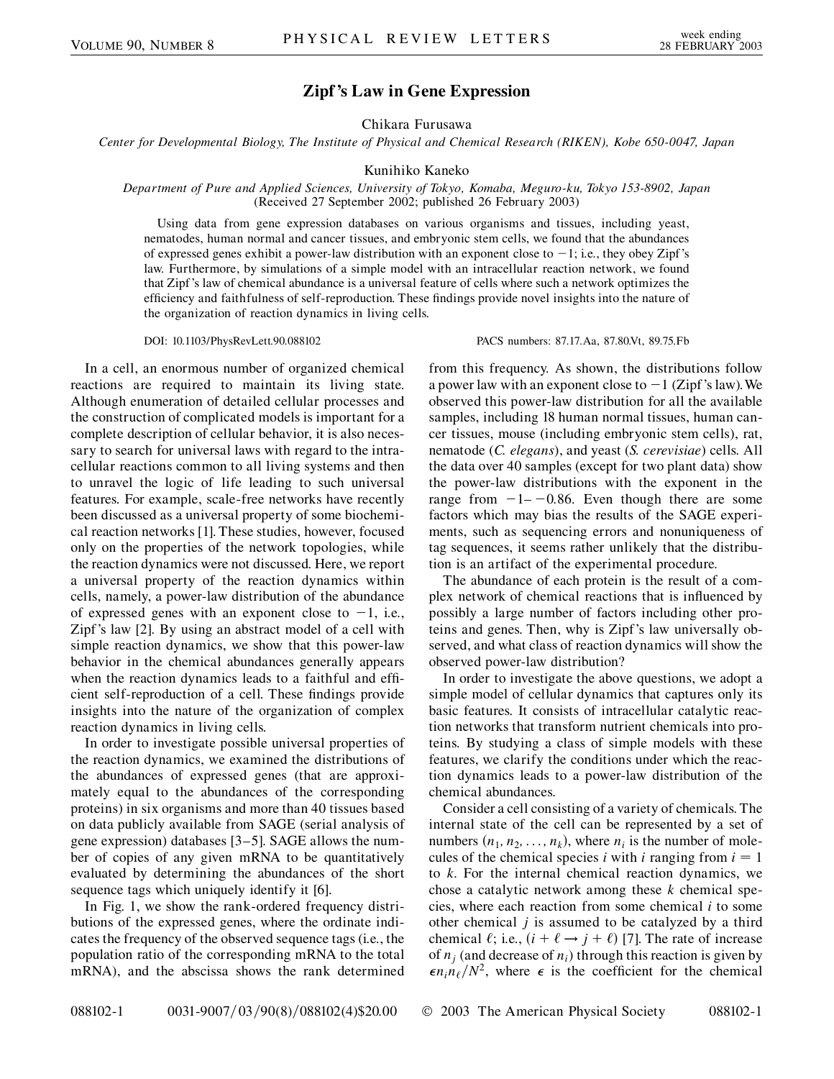## **Zipf's Law in Gene Expression**

Chikara Furusawa

*Center for Developmental Biology, The Institute of Physical and Chemical Research (RIKEN), Kobe 650-0047, Japan*

## Kunihiko Kaneko

## *Department of Pure and Applied Sciences, University of Tokyo, Komaba, Meguro-ku, Tokyo 153-8902, Japan* (Received 27 September 2002; published 26 February 2003)

Using data from gene expression databases on various organisms and tissues, including yeast, nematodes, human normal and cancer tissues, and embryonic stem cells, we found that the abundances of expressed genes exhibit a power-law distribution with an exponent close to  $-1$ ; i.e., they obey Zipf's law. Furthermore, by simulations of a simple model with an intracellular reaction network, we found that Zipf's law of chemical abundance is a universal feature of cells where such a network optimizes the efficiency and faithfulness of self-reproduction. These findings provide novel insights into the nature of the organization of reaction dynamics in living cells.

DOI: 10.1103/PhysRevLett.90.088102 PACS numbers: 87.17.Aa, 87.80.Vt, 89.75.Fb

In a cell, an enormous number of organized chemical reactions are required to maintain its living state. Although enumeration of detailed cellular processes and the construction of complicated models is important for a complete description of cellular behavior, it is also necessary to search for universal laws with regard to the intracellular reactions common to all living systems and then to unravel the logic of life leading to such universal features. For example, scale-free networks have recently been discussed as a universal property of some biochemical reaction networks [1]. These studies, however, focused only on the properties of the network topologies, while the reaction dynamics were not discussed. Here, we report a universal property of the reaction dynamics within cells, namely, a power-law distribution of the abundance of expressed genes with an exponent close to  $-1$ , i.e., Zipf's law [2]. By using an abstract model of a cell with simple reaction dynamics, we show that this power-law behavior in the chemical abundances generally appears when the reaction dynamics leads to a faithful and efficient self-reproduction of a cell. These findings provide insights into the nature of the organization of complex reaction dynamics in living cells.

In order to investigate possible universal properties of the reaction dynamics, we examined the distributions of the abundances of expressed genes (that are approximately equal to the abundances of the corresponding proteins) in six organisms and more than 40 tissues based on data publicly available from SAGE (serial analysis of gene expression) databases [3–5]. SAGE allows the number of copies of any given mRNA to be quantitatively evaluated by determining the abundances of the short sequence tags which uniquely identify it [6].

In Fig. 1, we show the rank-ordered frequency distributions of the expressed genes, where the ordinate indicates the frequency of the observed sequence tags (i.e., the population ratio of the corresponding mRNA to the total mRNA), and the abscissa shows the rank determined from this frequency. As shown, the distributions follow a power law with an exponent close to  $-1$  (Zipf's law). We observed this power-law distribution for all the available samples, including 18 human normal tissues, human cancer tissues, mouse (including embryonic stem cells), rat, nematode (*C. elegans*), and yeast (*S. cerevisiae*) cells. All the data over 40 samples (except for two plant data) show the power-law distributions with the exponent in the range from  $-1$ – 0.86. Even though there are some factors which may bias the results of the SAGE experiments, such as sequencing errors and nonuniqueness of tag sequences, it seems rather unlikely that the distribution is an artifact of the experimental procedure.

The abundance of each protein is the result of a complex network of chemical reactions that is influenced by possibly a large number of factors including other proteins and genes. Then, why is Zipf's law universally observed, and what class of reaction dynamics will show the observed power-law distribution?

In order to investigate the above questions, we adopt a simple model of cellular dynamics that captures only its basic features. It consists of intracellular catalytic reaction networks that transform nutrient chemicals into proteins. By studying a class of simple models with these features, we clarify the conditions under which the reaction dynamics leads to a power-law distribution of the chemical abundances.

Consider a cell consisting of a variety of chemicals. The internal state of the cell can be represented by a set of numbers  $(n_1, n_2, \ldots, n_k)$ , where  $n_i$  is the number of molecules of the chemical species *i* with *i* ranging from  $i = 1$ to *k*. For the internal chemical reaction dynamics, we chose a catalytic network among these *k* chemical species, where each reaction from some chemical *i* to some other chemical *j* is assumed to be catalyzed by a third chemical  $\ell$ ; i.e.,  $(i + \ell \rightarrow j + \ell)$  [7]. The rate of increase of  $n_i$  (and decrease of  $n_i$ ) through this reaction is given by  $\epsilon n_i n_e/N^2$ , where  $\epsilon$  is the coefficient for the chemical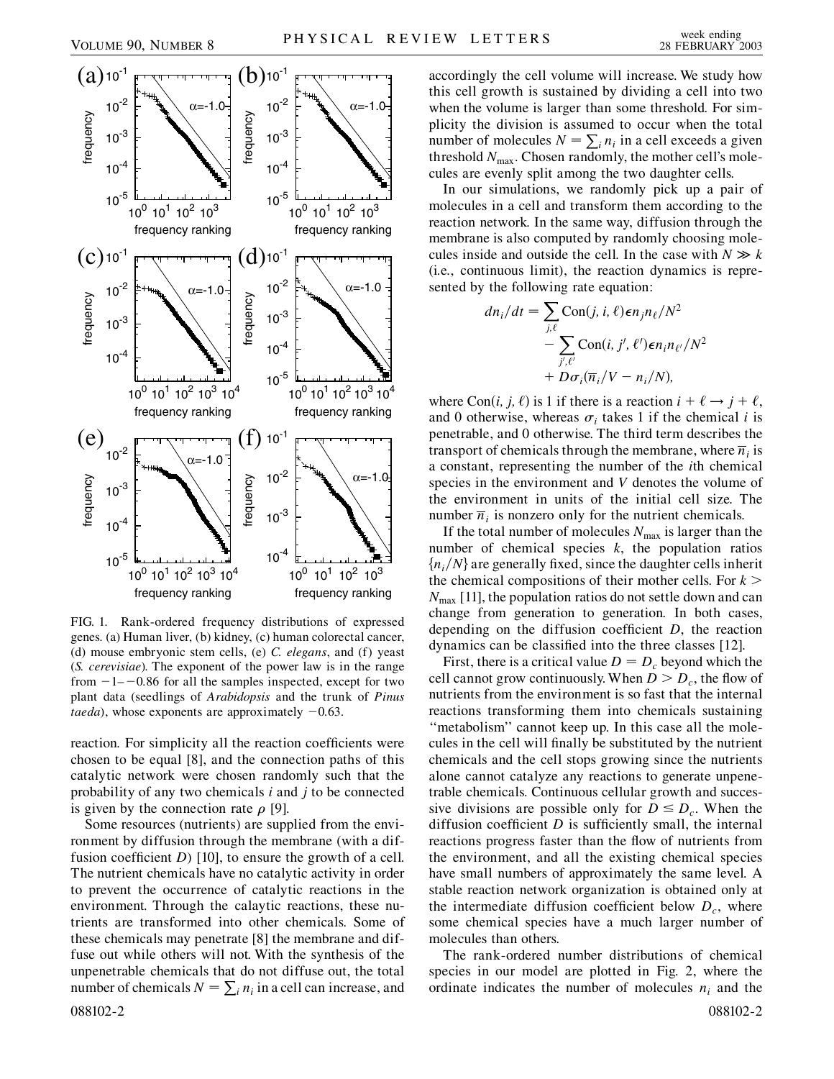

FIG. 1. Rank-ordered frequency distributions of expressed genes. (a) Human liver, (b) kidney, (c) human colorectal cancer, (d) mouse embryonic stem cells, (e) *C. elegans*, and (f) yeast (*S. cerevisiae*). The exponent of the power law is in the range from  $-1$ –0.86 for all the samples inspected, except for two plant data (seedlings of *Arabidopsis* and the trunk of *Pinus taeda*), whose exponents are approximately  $-0.63$ .

reaction. For simplicity all the reaction coefficients were chosen to be equal [8], and the connection paths of this catalytic network were chosen randomly such that the probability of any two chemicals *i* and *j* to be connected is given by the connection rate  $\rho$  [9].

Some resources (nutrients) are supplied from the environment by diffusion through the membrane (with a diffusion coefficient *D*) [10], to ensure the growth of a cell. The nutrient chemicals have no catalytic activity in order to prevent the occurrence of catalytic reactions in the environment. Through the calaytic reactions, these nutrients are transformed into other chemicals. Some of these chemicals may penetrate [8] the membrane and diffuse out while others will not. With the synthesis of the unpenetrable chemicals that do not diffuse out, the total number of chemicals  $N = \sum_i n_i$  in a cell can increase, and 088102-2 088102-2

accordingly the cell volume will increase. We study how this cell growth is sustained by dividing a cell into two when the volume is larger than some threshold. For simplicity the division is assumed to occur when the total number of molecules  $N = \sum_i n_i$  in a cell exceeds a given threshold  $N_{\text{max}}$ . Chosen randomly, the mother cell's molecules are evenly split among the two daughter cells.

In our simulations, we randomly pick up a pair of molecules in a cell and transform them according to the reaction network. In the same way, diffusion through the membrane is also computed by randomly choosing molecules inside and outside the cell. In the case with  $N \gg k$ (i.e., continuous limit), the reaction dynamics is represented by the following rate equation:

$$
dn_i/dt = \sum_{j,\ell} \text{Con}(j, i, \ell) \epsilon n_j n_{\ell}/N^2
$$

$$
- \sum_{j',\ell'} \text{Con}(i, j', \ell') \epsilon n_i n_{\ell'}/N^2
$$

$$
+ D\sigma_i(\overline{n}_i/V - n_i/N),
$$

where Con(*i*, *j*,  $\ell$ ) is 1 if there is a reaction  $i + \ell \rightarrow j + \ell$ , and 0 otherwise, whereas  $\sigma_i$  takes 1 if the chemical *i* is penetrable, and 0 otherwise. The third term describes the transport of chemicals through the membrane, where  $\overline{n_i}$  is a constant, representing the number of the *i*th chemical species in the environment and *V* denotes the volume of the environment in units of the initial cell size. The number  $\overline{n}_i$  is nonzero only for the nutrient chemicals.

If the total number of molecules  $N_{\text{max}}$  is larger than the number of chemical species *k*, the population ratios  ${n_i/N}$  are generally fixed, since the daughter cells inherit the chemical compositions of their mother cells. For *k > N*<sub>max</sub> [11], the population ratios do not settle down and can change from generation to generation. In both cases, depending on the diffusion coefficient *D*, the reaction dynamics can be classified into the three classes [12].

First, there is a critical value  $D = D_c$  beyond which the cell cannot grow continuously. When  $D > D_c$ , the flow of nutrients from the environment is so fast that the internal reactions transforming them into chemicals sustaining "metabolism" cannot keep up. In this case all the molecules in the cell will finally be substituted by the nutrient chemicals and the cell stops growing since the nutrients alone cannot catalyze any reactions to generate unpenetrable chemicals. Continuous cellular growth and successive divisions are possible only for  $D \leq D_c$ . When the diffusion coefficient *D* is sufficiently small, the internal reactions progress faster than the flow of nutrients from the environment, and all the existing chemical species have small numbers of approximately the same level. A stable reaction network organization is obtained only at the intermediate diffusion coefficient below  $D_c$ , where some chemical species have a much larger number of molecules than others.

The rank-ordered number distributions of chemical species in our model are plotted in Fig. 2, where the ordinate indicates the number of molecules  $n_i$  and the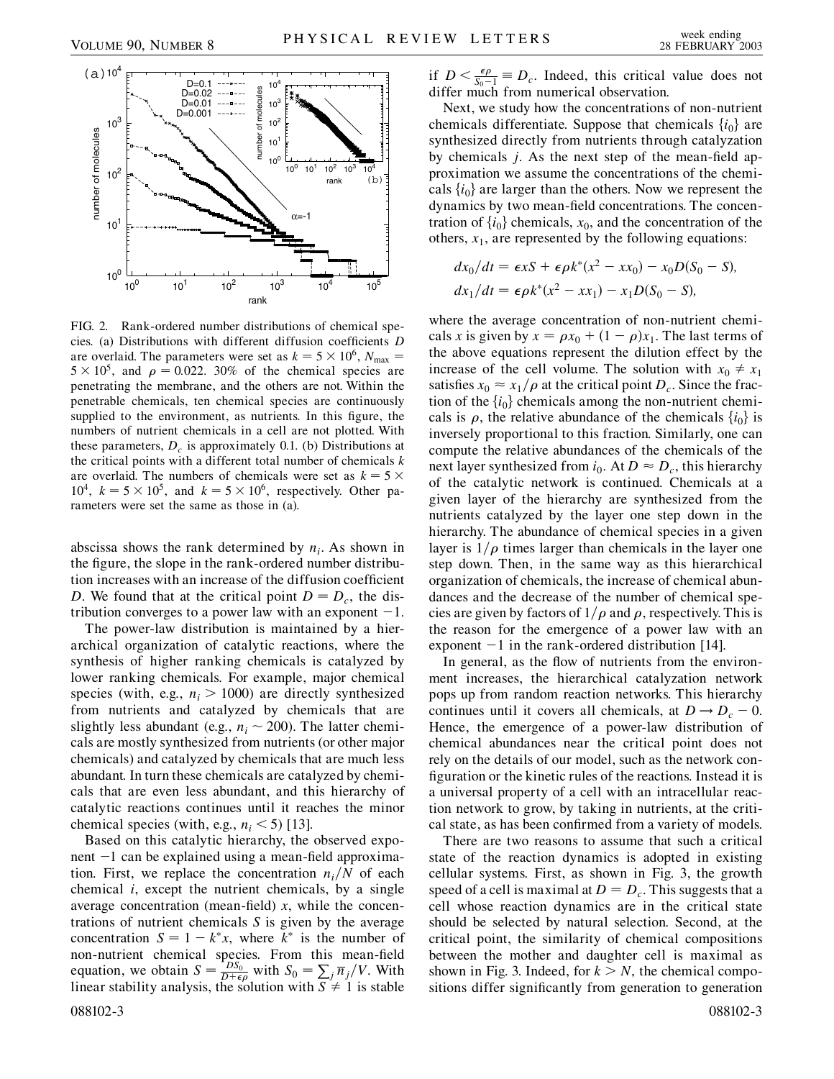

FIG. 2. Rank-ordered number distributions of chemical species. (a) Distributions with different diffusion coefficients *D* are overlaid. The parameters were set as  $k = 5 \times 10^6$ ,  $N_{\text{max}} =$  $5 \times 10^5$ , and  $\rho = 0.022$ . 30% of the chemical species are penetrating the membrane, and the others are not. Within the penetrable chemicals, ten chemical species are continuously supplied to the environment, as nutrients. In this figure, the numbers of nutrient chemicals in a cell are not plotted. With these parameters,  $D_c$  is approximately 0.1. (b) Distributions at the critical points with a different total number of chemicals *k* are overlaid. The numbers of chemicals were set as  $k = 5 \times$  $10^4$ ,  $k = 5 \times 10^5$ , and  $k = 5 \times 10^6$ , respectively. Other parameters were set the same as those in (a).

abscissa shows the rank determined by  $n_i$ . As shown in the figure, the slope in the rank-ordered number distribution increases with an increase of the diffusion coefficient *D*. We found that at the critical point  $D = D_c$ , the distribution converges to a power law with an exponent  $-1$ .

The power-law distribution is maintained by a hierarchical organization of catalytic reactions, where the synthesis of higher ranking chemicals is catalyzed by lower ranking chemicals. For example, major chemical species (with, e.g.,  $n_i > 1000$ ) are directly synthesized from nutrients and catalyzed by chemicals that are slightly less abundant (e.g.,  $n_i \sim 200$ ). The latter chemicals are mostly synthesized from nutrients (or other major chemicals) and catalyzed by chemicals that are much less abundant. In turn these chemicals are catalyzed by chemicals that are even less abundant, and this hierarchy of catalytic reactions continues until it reaches the minor chemical species (with, e.g.,  $n_i < 5$ ) [13].

Based on this catalytic hierarchy, the observed exponent  $-1$  can be explained using a mean-field approximation. First, we replace the concentration  $n_i/N$  of each chemical *i*, except the nutrient chemicals, by a single average concentration (mean-field)  $x$ , while the concentrations of nutrient chemicals *S* is given by the average concentration  $S = 1 - k^*x$ , where  $k^*$  is the number of non-nutrient chemical species. From this mean-field equation, we obtain  $S = \frac{DS_0}{D+\epsilon \rho}$  with  $S_0 = \sum_j \overline{n}_j / V$ . With linear stability analysis, the solution with  $S \neq 1$  is stable 088102-3 088102-3

if  $D < \frac{\epsilon \rho}{S_0 - 1} \equiv D_c$ . Indeed, this critical value does not differ much from numerical observation.

Next, we study how the concentrations of non-nutrient chemicals differentiate. Suppose that chemicals  $\{i_0\}$  are synthesized directly from nutrients through catalyzation by chemicals *j*. As the next step of the mean-field approximation we assume the concentrations of the chemicals  $\{i_0\}$  are larger than the others. Now we represent the dynamics by two mean-field concentrations. The concentration of  $\{i_0\}$  chemicals,  $x_0$ , and the concentration of the others,  $x_1$ , are represented by the following equations:

$$
dx_0/dt = \epsilon xS + \epsilon \rho k^*(x^2 - x x_0) - x_0 D(S_0 - S),
$$
  
\n
$$
dx_1/dt = \epsilon \rho k^*(x^2 - x x_1) - x_1 D(S_0 - S),
$$

where the average concentration of non-nutrient chemicals *x* is given by  $x = \rho x_0 + (1 - \rho)x_1$ . The last terms of the above equations represent the dilution effect by the increase of the cell volume. The solution with  $x_0 \neq x_1$ satisfies  $x_0 \approx x_1/\rho$  at the critical point  $D_c$ . Since the fraction of the  $\{i_0\}$  chemicals among the non-nutrient chemicals is  $\rho$ , the relative abundance of the chemicals  $\{i_0\}$  is inversely proportional to this fraction. Similarly, one can compute the relative abundances of the chemicals of the next layer synthesized from  $i_0$ . At  $D \approx D_c$ , this hierarchy of the catalytic network is continued. Chemicals at a given layer of the hierarchy are synthesized from the nutrients catalyzed by the layer one step down in the hierarchy. The abundance of chemical species in a given layer is  $1/\rho$  times larger than chemicals in the layer one step down. Then, in the same way as this hierarchical organization of chemicals, the increase of chemical abundances and the decrease of the number of chemical species are given by factors of  $1/\rho$  and  $\rho$ , respectively. This is the reason for the emergence of a power law with an exponent  $-1$  in the rank-ordered distribution [14].

In general, as the flow of nutrients from the environment increases, the hierarchical catalyzation network pops up from random reaction networks. This hierarchy continues until it covers all chemicals, at  $D \rightarrow D_c = 0$ . Hence, the emergence of a power-law distribution of chemical abundances near the critical point does not rely on the details of our model, such as the network configuration or the kinetic rules of the reactions. Instead it is a universal property of a cell with an intracellular reaction network to grow, by taking in nutrients, at the critical state, as has been confirmed from a variety of models.

There are two reasons to assume that such a critical state of the reaction dynamics is adopted in existing cellular systems. First, as shown in Fig. 3, the growth speed of a cell is maximal at  $D = D_c$ . This suggests that a cell whose reaction dynamics are in the critical state should be selected by natural selection. Second, at the critical point, the similarity of chemical compositions between the mother and daughter cell is maximal as shown in Fig. 3. Indeed, for  $k > N$ , the chemical compositions differ significantly from generation to generation